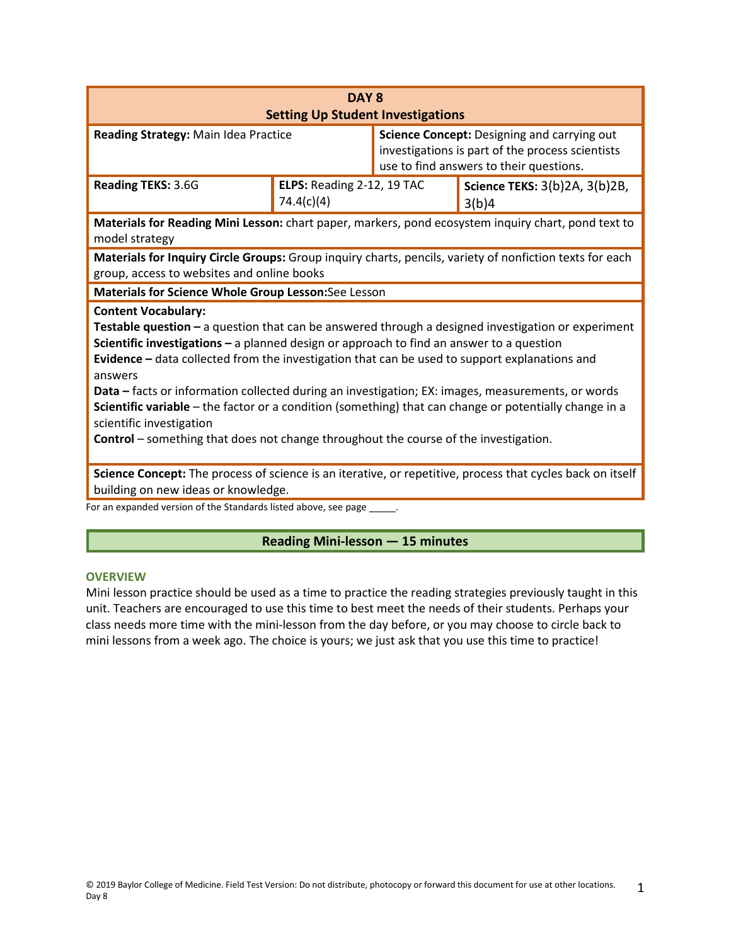| DAY <sub>8</sub>                                                                                                                                                                                                                                                                                                                                                                                                                                                                                                                                                                                                                                                                     |                                          |                                                                                                                                            |                                        |
|--------------------------------------------------------------------------------------------------------------------------------------------------------------------------------------------------------------------------------------------------------------------------------------------------------------------------------------------------------------------------------------------------------------------------------------------------------------------------------------------------------------------------------------------------------------------------------------------------------------------------------------------------------------------------------------|------------------------------------------|--------------------------------------------------------------------------------------------------------------------------------------------|----------------------------------------|
| <b>Setting Up Student Investigations</b>                                                                                                                                                                                                                                                                                                                                                                                                                                                                                                                                                                                                                                             |                                          |                                                                                                                                            |                                        |
| Reading Strategy: Main Idea Practice                                                                                                                                                                                                                                                                                                                                                                                                                                                                                                                                                                                                                                                 |                                          | Science Concept: Designing and carrying out<br>investigations is part of the process scientists<br>use to find answers to their questions. |                                        |
| Reading TEKS: 3.6G                                                                                                                                                                                                                                                                                                                                                                                                                                                                                                                                                                                                                                                                   | ELPS: Reading 2-12, 19 TAC<br>74.4(c)(4) |                                                                                                                                            | Science TEKS: 3(b)2A, 3(b)2B,<br>3(b)4 |
| Materials for Reading Mini Lesson: chart paper, markers, pond ecosystem inquiry chart, pond text to<br>model strategy                                                                                                                                                                                                                                                                                                                                                                                                                                                                                                                                                                |                                          |                                                                                                                                            |                                        |
| Materials for Inquiry Circle Groups: Group inquiry charts, pencils, variety of nonfiction texts for each                                                                                                                                                                                                                                                                                                                                                                                                                                                                                                                                                                             |                                          |                                                                                                                                            |                                        |
| group, access to websites and online books                                                                                                                                                                                                                                                                                                                                                                                                                                                                                                                                                                                                                                           |                                          |                                                                                                                                            |                                        |
| Materials for Science Whole Group Lesson: See Lesson                                                                                                                                                                                                                                                                                                                                                                                                                                                                                                                                                                                                                                 |                                          |                                                                                                                                            |                                        |
| <b>Content Vocabulary:</b><br>Testable question - a question that can be answered through a designed investigation or experiment<br>Scientific investigations $-$ a planned design or approach to find an answer to a question<br>Evidence - data collected from the investigation that can be used to support explanations and<br>answers<br>Data - facts or information collected during an investigation; EX: images, measurements, or words<br>Scientific variable - the factor or a condition (something) that can change or potentially change in a<br>scientific investigation<br><b>Control</b> – something that does not change throughout the course of the investigation. |                                          |                                                                                                                                            |                                        |
| Science Concept: The process of science is an iterative, or repetitive, process that cycles back on itself                                                                                                                                                                                                                                                                                                                                                                                                                                                                                                                                                                           |                                          |                                                                                                                                            |                                        |
| building on new ideas or knowledge.<br>For an expanded version of the Standards listed above, see page _                                                                                                                                                                                                                                                                                                                                                                                                                                                                                                                                                                             |                                          |                                                                                                                                            |                                        |

# **Reading Mini-lesson — 15 minutes**

#### **OVERVIEW**

Mini lesson practice should be used as a time to practice the reading strategies previously taught in this unit. Teachers are encouraged to use this time to best meet the needs of their students. Perhaps your class needs more time with the mini-lesson from the day before, or you may choose to circle back to mini lessons from a week ago. The choice is yours; we just ask that you use this time to practice!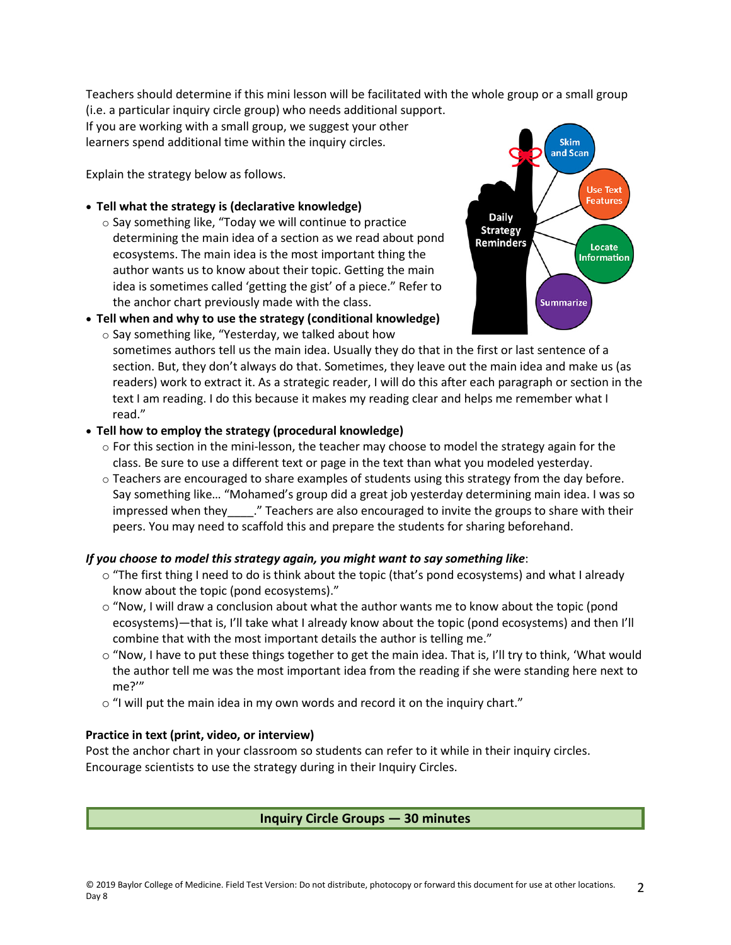Teachers should determine if this mini lesson will be facilitated with the whole group or a small group

(i.e. a particular inquiry circle group) who needs additional support. If you are working with a small group, we suggest your other learners spend additional time within the inquiry circles.

Explain the strategy below as follows.

- **Tell what the strategy is (declarative knowledge)**
	- o Say something like, "Today we will continue to practice determining the main idea of a section as we read about pond ecosystems. The main idea is the most important thing the author wants us to know about their topic. Getting the main idea is sometimes called 'getting the gist' of a piece." Refer to the anchor chart previously made with the class.
- **Tell when and why to use the strategy (conditional knowledge)**



**Skim** and Scan

o Say something like, "Yesterday, we talked about how sometimes authors tell us the main idea. Usually they do that in the first or last sentence of a section. But, they don't always do that. Sometimes, they leave out the main idea and make us (as readers) work to extract it. As a strategic reader, I will do this after each paragraph or section in the text I am reading. I do this because it makes my reading clear and helps me remember what I read."

# • **Tell how to employ the strategy (procedural knowledge)**

- $\circ$  For this section in the mini-lesson, the teacher may choose to model the strategy again for the class. Be sure to use a different text or page in the text than what you modeled yesterday.
- $\circ$  Teachers are encouraged to share examples of students using this strategy from the day before. Say something like… "Mohamed's group did a great job yesterday determining main idea. I was so impressed when they . " Teachers are also encouraged to invite the groups to share with their peers. You may need to scaffold this and prepare the students for sharing beforehand.

# *If you choose to model this strategy again, you might want to say something like*:

- $\circ$  "The first thing I need to do is think about the topic (that's pond ecosystems) and what I already know about the topic (pond ecosystems)."
- $\circ$  "Now, I will draw a conclusion about what the author wants me to know about the topic (pond ecosystems)—that is, I'll take what I already know about the topic (pond ecosystems) and then I'll combine that with the most important details the author is telling me."
- $\circ$  "Now, I have to put these things together to get the main idea. That is, I'll try to think, 'What would the author tell me was the most important idea from the reading if she were standing here next to me?'"
- o "I will put the main idea in my own words and record it on the inquiry chart."

# **Practice in text (print, video, or interview)**

Post the anchor chart in your classroom so students can refer to it while in their inquiry circles. Encourage scientists to use the strategy during in their Inquiry Circles.

# **Inquiry Circle Groups — 30 minutes**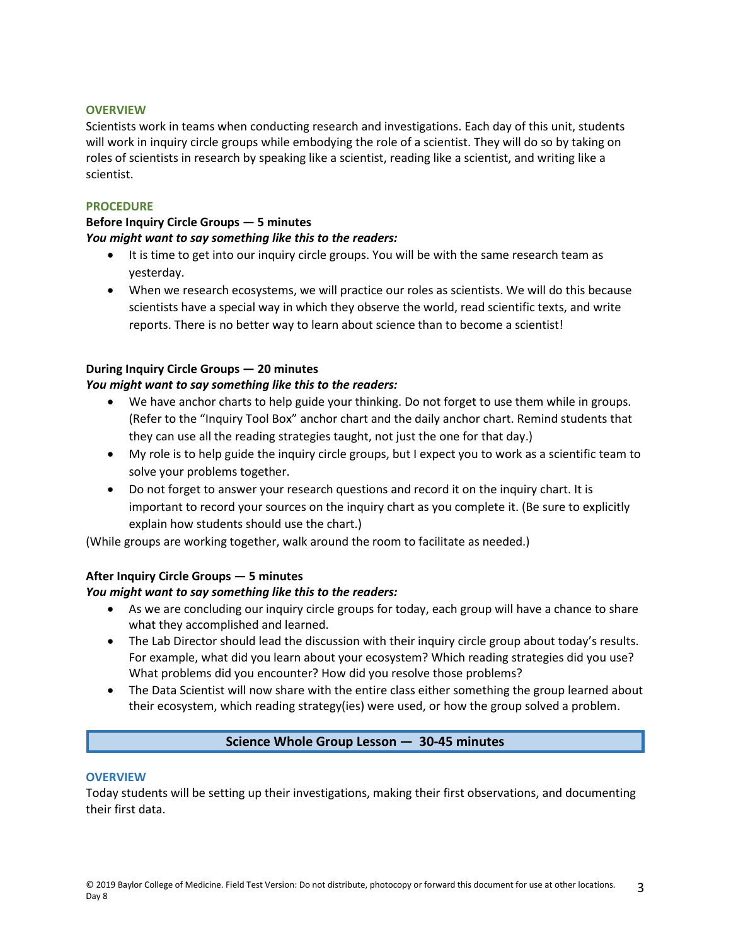### **OVERVIEW**

Scientists work in teams when conducting research and investigations. Each day of this unit, students will work in inquiry circle groups while embodying the role of a scientist. They will do so by taking on roles of scientists in research by speaking like a scientist, reading like a scientist, and writing like a scientist.

### **PROCEDURE**

#### **Before Inquiry Circle Groups — 5 minutes**  *You might want to say something like this to the readers:*

- It is time to get into our inquiry circle groups. You will be with the same research team as yesterday.
- When we research ecosystems, we will practice our roles as scientists. We will do this because scientists have a special way in which they observe the world, read scientific texts, and write reports. There is no better way to learn about science than to become a scientist!

## **During Inquiry Circle Groups — 20 minutes**

## *You might want to say something like this to the readers:*

- We have anchor charts to help guide your thinking. Do not forget to use them while in groups. (Refer to the "Inquiry Tool Box" anchor chart and the daily anchor chart. Remind students that they can use all the reading strategies taught, not just the one for that day.)
- My role is to help guide the inquiry circle groups, but I expect you to work as a scientific team to solve your problems together.
- Do not forget to answer your research questions and record it on the inquiry chart. It is important to record your sources on the inquiry chart as you complete it. (Be sure to explicitly explain how students should use the chart.)

(While groups are working together, walk around the room to facilitate as needed.)

## **After Inquiry Circle Groups — 5 minutes**

## *You might want to say something like this to the readers:*

- As we are concluding our inquiry circle groups for today, each group will have a chance to share what they accomplished and learned.
- The Lab Director should lead the discussion with their inquiry circle group about today's results. For example, what did you learn about your ecosystem? Which reading strategies did you use? What problems did you encounter? How did you resolve those problems?
- The Data Scientist will now share with the entire class either something the group learned about their ecosystem, which reading strategy(ies) were used, or how the group solved a problem.

## **Science Whole Group Lesson — 30-45 minutes**

#### **OVERVIEW**

Today students will be setting up their investigations, making their first observations, and documenting their first data.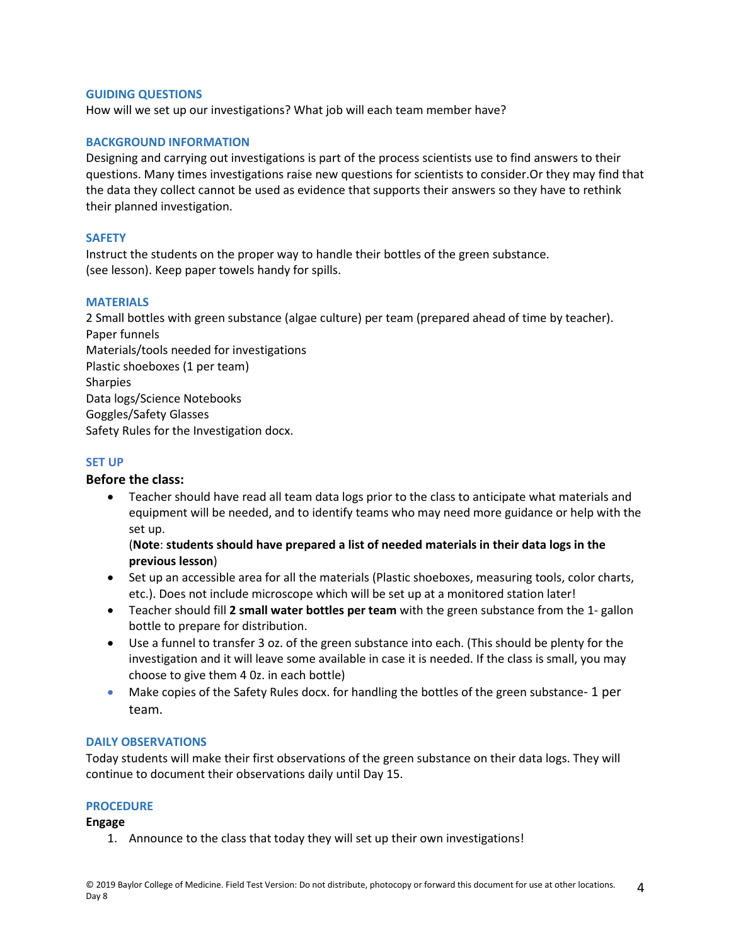### **GUIDING QUESTIONS**

How will we set up our investigations? What job will each team member have?

### **BACKGROUND INFORMATION**

Designing and carrying out investigations is part of the process scientists use to find answers to their questions. Many times investigations raise new questions for scientists to consider.Or they may find that the data they collect cannot be used as evidence that supports their answers so they have to rethink their planned investigation.

## **SAFETY**

Instruct the students on the proper way to handle their bottles of the green substance. (see lesson). Keep paper towels handy for spills.

### **MATERIALS**

2 Small bottles with green substance (algae culture) per team (prepared ahead of time by teacher). Paper funnels Materials/tools needed for investigations Plastic shoeboxes (1 per team) Sharpies Data logs/Science Notebooks Goggles/Safety Glasses Safety Rules for the Investigation docx.

## **SET UP**

## **Before the class:**

• Teacher should have read all team data logs prior to the class to anticipate what materials and equipment will be needed, and to identify teams who may need more guidance or help with the set up.

## (**Note**: **students should have prepared a list of needed materials in their data logs in the previous lesson**)

- Set up an accessible area for all the materials (Plastic shoeboxes, measuring tools, color charts, etc.). Does not include microscope which will be set up at a monitored station later!
- Teacher should fill **2 small water bottles per team** with the green substance from the 1- gallon bottle to prepare for distribution.
- Use a funnel to transfer 3 oz. of the green substance into each. (This should be plenty for the investigation and it will leave some available in case it is needed. If the class is small, you may choose to give them 4 0z. in each bottle)
- Make copies of the Safety Rules docx. for handling the bottles of the green substance- 1 per team.

## **DAILY OBSERVATIONS**

Today students will make their first observations of the green substance on their data logs. They will continue to document their observations daily until Day 15.

## **PROCEDURE**

**Engage**

1. Announce to the class that today they will set up their own investigations!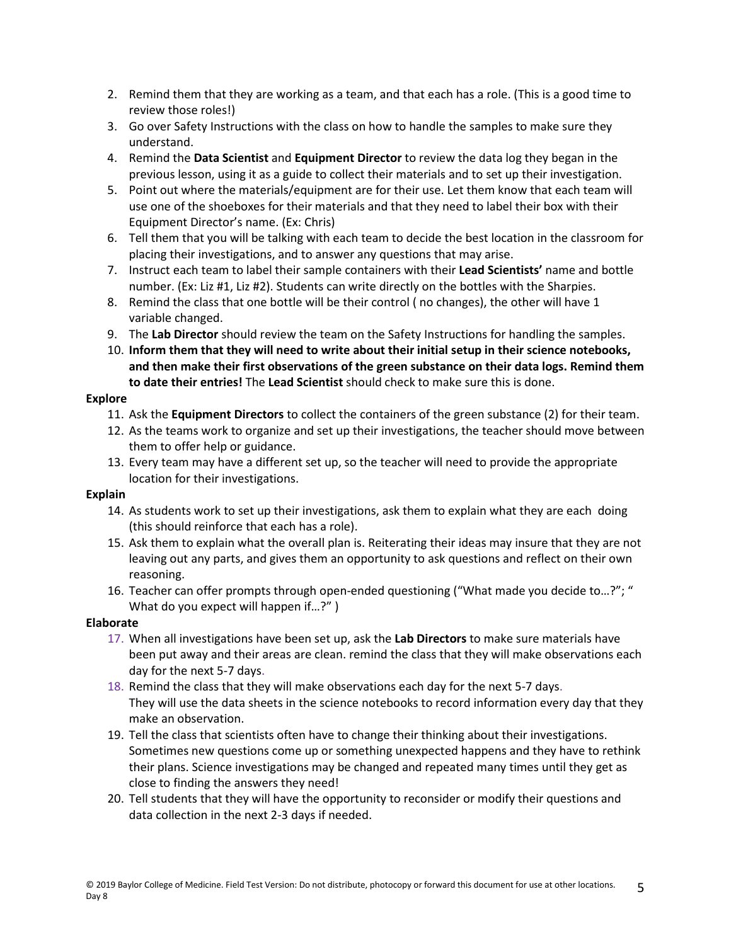- 2. Remind them that they are working as a team, and that each has a role. (This is a good time to review those roles!)
- 3. Go over Safety Instructions with the class on how to handle the samples to make sure they understand.
- 4. Remind the **Data Scientist** and **Equipment Director** to review the data log they began in the previous lesson, using it as a guide to collect their materials and to set up their investigation.
- 5. Point out where the materials/equipment are for their use. Let them know that each team will use one of the shoeboxes for their materials and that they need to label their box with their Equipment Director's name. (Ex: Chris)
- 6. Tell them that you will be talking with each team to decide the best location in the classroom for placing their investigations, and to answer any questions that may arise.
- 7. Instruct each team to label their sample containers with their **Lead Scientists'** name and bottle number. (Ex: Liz #1, Liz #2). Students can write directly on the bottles with the Sharpies.
- 8. Remind the class that one bottle will be their control ( no changes), the other will have 1 variable changed.
- 9. The **Lab Director** should review the team on the Safety Instructions for handling the samples.
- 10. **Inform them that they will need to write about their initial setup in their science notebooks, and then make their first observations of the green substance on their data logs. Remind them to date their entries!** The **Lead Scientist** should check to make sure this is done.

## **Explore**

- 11. Ask the **Equipment Directors** to collect the containers of the green substance (2) for their team.
- 12. As the teams work to organize and set up their investigations, the teacher should move between them to offer help or guidance.
- 13. Every team may have a different set up, so the teacher will need to provide the appropriate location for their investigations.

## **Explain**

- 14. As students work to set up their investigations, ask them to explain what they are each doing (this should reinforce that each has a role).
- 15. Ask them to explain what the overall plan is. Reiterating their ideas may insure that they are not leaving out any parts, and gives them an opportunity to ask questions and reflect on their own reasoning.
- 16. Teacher can offer prompts through open-ended questioning ("What made you decide to…?"; " What do you expect will happen if...?")

## **Elaborate**

- 17. When all investigations have been set up, ask the **Lab Directors** to make sure materials have been put away and their areas are clean. remind the class that they will make observations each day for the next 5-7 days.
- 18. Remind the class that they will make observations each day for the next 5-7 days. They will use the data sheets in the science notebooks to record information every day that they make an observation.
- 19. Tell the class that scientists often have to change their thinking about their investigations. Sometimes new questions come up or something unexpected happens and they have to rethink their plans. Science investigations may be changed and repeated many times until they get as close to finding the answers they need!
- 20. Tell students that they will have the opportunity to reconsider or modify their questions and data collection in the next 2-3 days if needed.